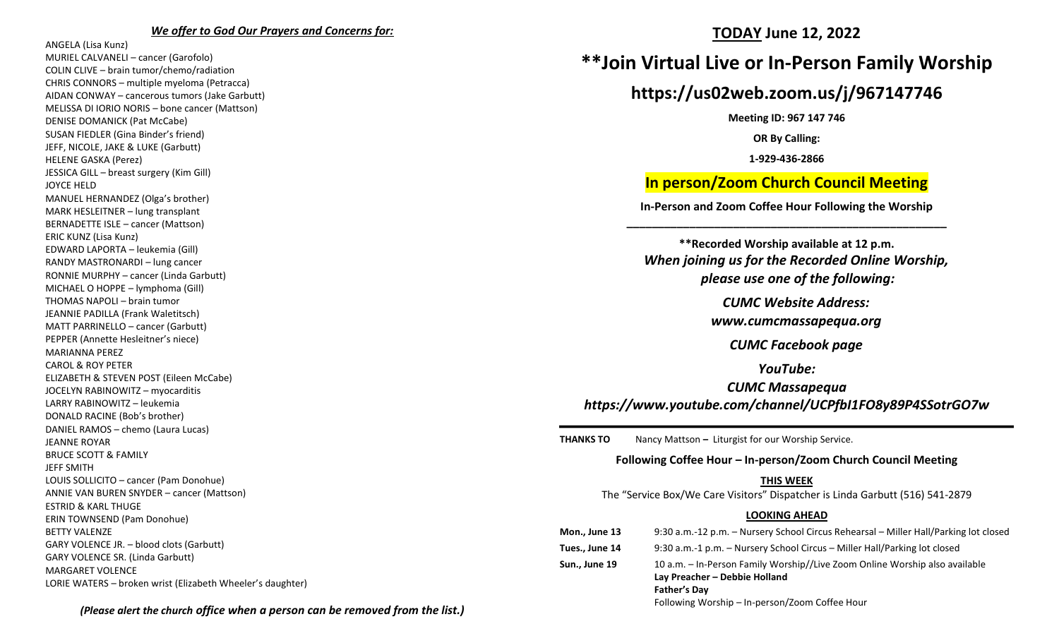#### *We offer to God Our Prayers and Concerns for:*

ANGELA (Lisa Kunz) MURIEL CALVANELI – cancer (Garofolo) COLIN CLIVE – brain tumor/chemo/radiation CHRIS CONNORS – multiple myeloma (Petracca) AIDAN CONWAY – cancerous tumors (Jake Garbutt) MELISSA DI IORIO NORIS – bone cancer (Mattson) DENISE DOMANICK (Pat McCabe) SUSAN FIEDLER (Gina Binder's friend) JEFF, NICOLE, JAKE & LUKE (Garbutt) HELENE GASKA (Perez) JESSICA GILL – breast surgery (Kim Gill) JOYCE HELD MANUEL HERNANDEZ (Olga's brother) MARK HESLEITNER – lung transplant BERNADETTE ISLE – cancer (Mattson) ERIC KUNZ (Lisa Kunz) EDWARD LAPORTA – leukemia (Gill) RANDY MASTRONARDI – lung cancer RONNIE MURPHY – cancer (Linda Garbutt) MICHAEL O HOPPE – lymphoma (Gill) THOMAS NAPOLI – brain tumor JEANNIE PADILLA (Frank Waletitsch) MATT PARRINELLO – cancer (Garbutt) PEPPER (Annette Hesleitner's niece) MARIANNA PEREZ CAROL & ROY PETER ELIZABETH & STEVEN POST (Eileen McCabe) JOCELYN RABINOWITZ – myocarditis LARRY RABINOWITZ – leukemia DONALD RACINE (Bob's brother) DANIEL RAMOS – chemo (Laura Lucas) JEANNE ROYAR BRUCE SCOTT & FAMILY JEFF SMITH LOUIS SOLLICITO – cancer (Pam Donohue) ANNIE VAN BUREN SNYDER – cancer (Mattson) ESTRID & KARL THUGE ERIN TOWNSEND (Pam Donohue) BETTY VALENZE GARY VOLENCE JR. – blood clots (Garbutt) GARY VOLENCE SR. (Linda Garbutt) MARGARET VOLENCE LORIE WATERS – broken wrist (Elizabeth Wheeler's daughter)

## **TODAY June 12, 2022**

# **\*\*Join Virtual Live or In-Person Family Worship**

# **https://us02web.zoom.us/j/967147746**

**Meeting ID: 967 147 746**

**OR By Calling:**

**1-929-436-2866**

## **In person/Zoom Church Council Meeting**

**In-Person and Zoom Coffee Hour Following the Worship \_\_\_\_\_\_\_\_\_\_\_\_\_\_\_\_\_\_\_\_\_\_\_\_\_\_\_\_\_\_\_\_\_\_\_\_\_\_\_\_\_\_\_\_\_\_\_\_\_\_\_**

**\*\*Recorded Worship available at 12 p.m.** *When joining us for the Recorded Online Worship, please use one of the following:*

*CUMC Website Address:*

*[www.cumcmassapequa.org](about:blank)*

*CUMC Facebook page*

*YouTube:*

# *CUMC Massapequa [https://www.youtube.com/channel/UCPfbI1FO8y89P4SSotrGO7w](about:blank)*

**THANKS TO** Nancy Mattson – Liturgist for our Worship Service.

#### **Following Coffee Hour – In-person/Zoom Church Council Meeting**

## **THIS WEEK**

The "Service Box/We Care Visitors" Dispatcher is Linda Garbutt (516) 541-2879

## **LOOKING AHEAD**

| Mon., June 13  | 9:30 a.m.-12 p.m. - Nursery School Circus Rehearsal - Miller Hall/Parking lot closed                                                |
|----------------|-------------------------------------------------------------------------------------------------------------------------------------|
| Tues., June 14 | 9:30 a.m.-1 p.m. – Nursery School Circus – Miller Hall/Parking lot closed                                                           |
| Sun., June 19  | 10 a.m. - In-Person Family Worship//Live Zoom Online Worship also available<br>Lay Preacher - Debbie Holland<br><b>Father's Day</b> |
|                | Following Worship - In-person/Zoom Coffee Hour                                                                                      |

*(Please alert the church office when a person can be removed from the list.)*